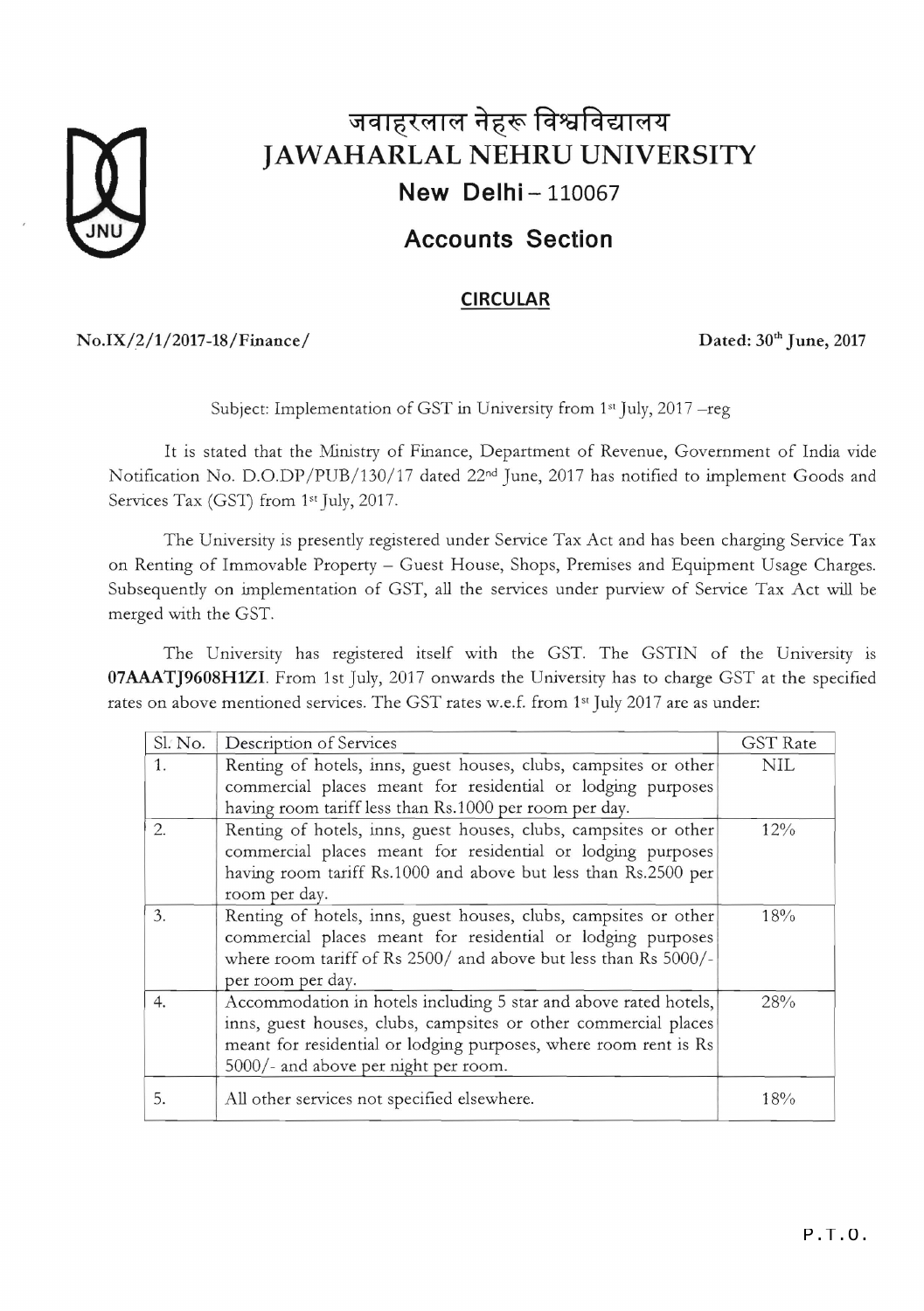

## जवाहरलाल नेहरू विश्वविद्यालय **JAWAHARLAL NEHRU UNIVERSITY New Delhi - 110067**

### **Accounts Section**

#### **CIRCULAR**

No.IX/2/1/2017-18/Finance/ Dated: 30<sup>th</sup> June, 2017

Subject: Implementation of GST in University from  $1<sup>st</sup>$  July, 2017 - reg

It is stated that the Ministry of Finance, Department of Revenue, Government of India vide Notification No. D.O.DP/PUB/130/17 dated 22<sup>nd</sup> June, 2017 has notified to implement Goods and Services Tax (GST) from 1st July, 2017.

The University is presently registered under Service Tax Act and has been charging Service Tax on Renting of Immovable Property - Guest House, Shops, Premises and Equipment Usage Charges. Subsequently on implementation of GST, all the services under purview of Service Tax Act will be merged with the GST.

The University has registered itself with the GST. The GSTIN of the University is **07AAATJ9608HlZI.** From 1st July, 2017 onwards the University has to charge GST at the specified rates on above mentioned services. The GST rates w.e.f. from 1<sup>st</sup> July 2017 are as under:

| Sl. No. | Description of Services                                          | <b>GST</b> Rate |
|---------|------------------------------------------------------------------|-----------------|
| 1.      | Renting of hotels, inns, guest houses, clubs, campsites or other | <b>NIL</b>      |
|         | commercial places meant for residential or lodging purposes      |                 |
|         | having room tariff less than Rs.1000 per room per day.           |                 |
| 2.      | Renting of hotels, inns, guest houses, clubs, campsites or other | 12%             |
|         | commercial places meant for residential or lodging purposes      |                 |
|         | having room tariff Rs.1000 and above but less than Rs.2500 per   |                 |
|         | room per day.                                                    |                 |
| 3.      | Renting of hotels, inns, guest houses, clubs, campsites or other | 18%             |
|         | commercial places meant for residential or lodging purposes      |                 |
|         | where room tariff of Rs 2500/ and above but less than Rs 5000/-  |                 |
|         | per room per day.                                                |                 |
| 4.      | Accommodation in hotels including 5 star and above rated hotels, | 28%             |
|         | inns, guest houses, clubs, campsites or other commercial places  |                 |
|         | meant for residential or lodging purposes, where room rent is Rs |                 |
|         | 5000/- and above per night per room.                             |                 |
| 5.      | All other services not specified elsewhere.                      | 18%             |